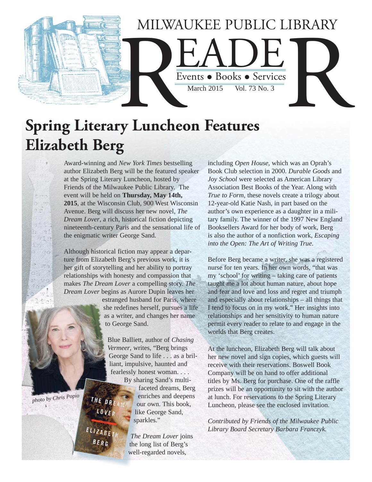

# **Spring Literary Luncheon Features Elizabeth Berg**

Award-winning and *New York Times* bestselling author Elizabeth Berg will be the featured speaker at the Spring Literary Luncheon, hosted by Friends of the Milwaukee Public Library. The event will be held on **Thursday, May 14th, 2015**, at the Wisconsin Club, 900 West Wisconsin Avenue. Berg will discuss her new novel, *The Dream Lover*, a rich, historical fiction depicting nineteenth-century Paris and the sensational life of the enigmatic writer George Sand.

Although historical fiction may appear a departure from Elizabeth Berg's previous work, it is her gift of storytelling and her ability to portray relationships with honesty and compassion that makes *The Dream Lover* a compelling story. *The Dream Lover* begins as Aurore Dupin leaves her

> estranged husband for Paris, where she redefines herself, pursues a life as a writer, and changes her name to George Sand.

 Blue Balliett, author of *Chasing Vermeer*, writes, "Berg brings George Sand to life . . . as a brilliant, impulsive, haunted and fearlessly honest woman. . . .

> By sharing Sand's multifaceted dreams, Berg enriches and deepens our own. This book, like George Sand, sparkles."

*The Dream Lover* joins the long list of Berg's well-regarded novels,

including *Open House*, which was an Oprah's Book Club selection in 2000. *Durable Goods* and *Joy School* were selected as American Library Association Best Books of the Year. Along with *True to Form*, these novels create a trilogy about 12-year-old Katie Nash, in part based on the author's own experience as a daughter in a military family. The winner of the 1997 New England Booksellers Award for her body of work, Berg is also the author of a nonfiction work, *Escaping into the Open: The Art of Writing True*.

Before Berg became a writer, she was a registered nurse for ten years. In her own words, "that was my 'school' for writing – taking care of patients taught me a lot about human nature, about hope and fear and love and loss and regret and triumph and especially about relationships – all things that I tend to focus on in my work." Her insights into relationships and her sensitivity to human nature permit every reader to relate to and engage in the worlds that Berg creates.

At the luncheon, Elizabeth Berg will talk about her new novel and sign copies, which guests will receive with their reservations. Boswell Book Company will be on hand to offer additional titles by Ms. Berg for purchase. One of the raffle prizes will be an opportunity to sit with the author at lunch. For reservations to the Spring Literary Luncheon, please see the enclosed invitation.

*Contributed by Friends of the Milwaukee Public Library Board Secretary Barbara Franczyk.*

*photo by Chris Popio*

LOVE ELIZABEI BERG

THE DRE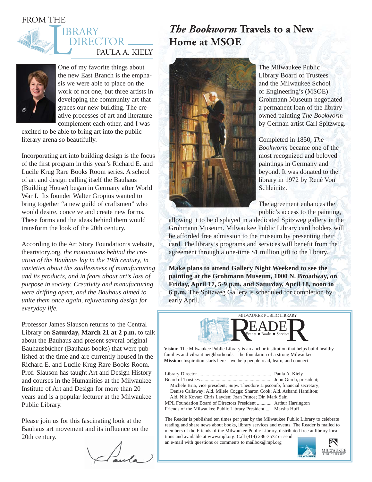# FROM THE





One of my favorite things about the new East Branch is the emphasis we were able to place on the work of not one, but three artists in developing the community art that graces our new building. The creative processes of art and literature complement each other, and I was

excited to be able to bring art into the public literary arena so beautifully.

Incorporating art into building design is the focus of the first program in this year's Richard E. and Lucile Krug Rare Books Room series. A school of art and design calling itself the Bauhaus (Building House) began in Germany after World War I. Its founder Walter Gropius wanted to bring together "a new guild of craftsmen" who would desire, conceive and create new forms. These forms and the ideas behind them would transform the look of the 20th century.

According to the Art Story Foundation's website, theartstory.org, *the motivations behind the creation of the Bauhaus lay in the 19th century, in anxieties about the soullessness of manufacturing and its products, and in fears about art's loss of purpose in society. Creativity and manufacturing were drifting apart, and the Bauhaus aimed to unite them once again, rejuvenating design for everyday life.*

Professor James Slauson returns to the Central Library on **Saturday, March 21 at 2 p.m.** to talk about the Bauhaus and present several original Bauhausbücher (Bauhaus books) that were published at the time and are currently housed in the Richard E. and Lucile Krug Rare Books Room. Prof. Slauson has taught Art and Design History and courses in the Humanities at the Milwaukee Institute of Art and Design for more than 20 years and is a popular lecturer at the Milwaukee Public Library.

Please join us for this fascinating look at the Bauhaus art movement and its influence on the 20th century.

# *The Bookworm* **Travels to a New Home at MSOE**



The Milwaukee Public Library Board of Trustees and the Milwaukee School of Engineering's (MSOE) Grohmann Museum negotiated a permanent loan of the libraryowned painting *The Bookworm* by German artist Carl Spitzweg.

Completed in 1850, *The Bookworm* became one of the most recognized and beloved paintings in Germany and beyond. It was donated to the library in 1972 by René Von Schleinitz.

The agreement enhances the public's access to the painting,

allowing it to be displayed in a dedicated Spitzweg gallery in the Grohmann Museum. Milwaukee Public Library card holders will be afforded free admission to the museum by presenting their card. The library's programs and services will benefit from the agreement through a one-time \$1 million gift to the library.

**Make plans to attend Gallery Night Weekend to see the painting at the Grohmann Museum, 1000 N. Broadway, on Friday, April 17, 5-9 p.m. and Saturday, April 18, noon to 6 p.m.** The Spitzweg Gallery is scheduled for completion by early April.



**Vision:** The Milwaukee Public Library is an anchor institution that helps build healthy families and vibrant neighborhoods – the foundation of a strong Milwaukee. **Mission:** Inspiration starts here – we help people read, learn, and connect.

Library Director ............................................................ Paula A. Kiely Board of Trustees .......................................................... John Gurda, president; Michele Bria, vice president; Supv. Theodore Lipscomb, financial secretary; Denise Callaway; Ald. Milele Coggs; Sharon Cook; Ald. Ashanti Hamilton; Ald. Nik Kovac; Chris Layden; Joan Prince; Dir. Mark Sain MPL Foundation Board of Directors President ............ Arthur Harrington Friends of the Milwaukee Public Library President .... Marsha Huff

The Reader is published ten times per year by the Milwaukee Public Library to celebrate reading and share news about books, library services and events. The Reader is mailed to members of the Friends of the Milwaukee Public Library, distributed free at library locations and available at www.mpl.org. Call (414) 286-3572 or send

an e-mail with questions or comments to mailbox@mpl.org

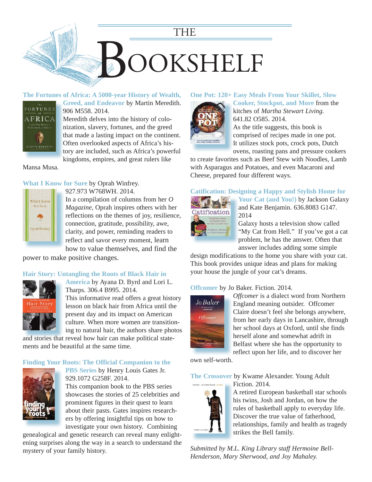

#### **[The Fortunes of Africa: A 5000-year History of Wealth,](http://encore.mcfls.org/iii/encore/record/C__Rb3775415?lang=eng)**



**Greed, and Endeavor** by Martin Meredith. **G** 906 M558. 2014. 9 Meredith delves into the history of colo-M nization, slavery, fortunes, and the greed n

that made a lasting impact on the continent. Often overlooked aspects of Africa's his-O tory are included, such as Africa's powerful kingdoms, empires, and great rulers like k

Mansa Musa.

# **What I Know for Sure** by Oprah Winfrey.

What I Know For Sure **Oprah Winfre** 

927.973 W768WH. 2014. In a compilation of columns from her *O Magazine*, Oprah inspires others with her reflections on the themes of joy, resilience, connection, gratitude, possibility, awe, clarity, and power, reminding readers to reflect and savor every moment, learn [how to value themselves, and find the](https://encore.mcfls.org/iii/encore/record/C__Rb3770066) 

power to make positive changes.

# **Hair Story: Untangling the Roots of Black Hair in**



**America** by Ayana D. Byrd and Lori L. Tharps. 306.4 B995. 2014. This informative read offers a great history lesson on black hair from Africa until the present day and its impact on American culture. When more women are transition-

ing to natural hair, the authors share photos [and stories that reveal how hair can make political state](https://encore.mcfls.org/iii/encore/record/C__Rb3770962)ments and be beautiful at the same time.

# **Finding Your Roots: The Official Companion to the**



**PBS Series** by Henry Louis Gates Jr. 929.1072 G258F. 2014. This companion book to the PBS series showcases the stories of 25 celebrities and prominent figures in their quest to learn about their pasts. Gates inspires researchers by offering insightful tips on how to

investigate your own history. Combining genealogical and genetic research can reveal many enlight[ening surprises along the way in a search to understand the](https://encore.mcfls.org/iii/encore/record/C__Rb3768361)  mystery of your family history.

#### **One Pot: 120+ Easy Meals From Your Skillet, Slow**



**Cooker, Stockpot, and More** from the kitches of *Martha Stewart Living*. 641.82 O585. 2014. As the title suggests, this book is comprised of recipes made in one pot.

It utilizes stock pots, crock pots, Dutch ovens, roasting pans and pressure cookers

[to create favorites such as Beef Stew with Noodles, Lamb](https://encore.mcfls.org/iii/encore/record/C__Rb3771267)  with Asparagus and Potatoes, and even Macaroni and Cheese, prepared four different ways.

#### **Catification: Designing a Happy and Stylish Home for**



**Your Cat (and You!)** by Jackson Galaxy and Kate Benjamin. 636.8083 G147. 2014

Galaxy hosts a television show called "My Cat from Hell." If you've got a cat problem, he has the answer. Often that panswer includes adding some simple

[design modifications to the home you share with your cat.](https://encore.mcfls.org/iii/encore/record/C__Rb3777286)  This book provides unique ideas and plans for making your house the jungle of your cat's dreams.

# **Offcomer** by Jo Baker. Fiction. 2014.



*Offcomer* is a dialect word from Northern England meaning outsider. Offcomer Claire doesn't feel she belongs anywhere, [from her early days in Lancashire, through](https://encore.mcfls.org/iii/encore/record/C__Rb3783597)  her school days at Oxford, until she finds herself alone and somewhat adrift in Belfast where she has the opportunity to reflect upon her life, and to discover her

own self-worth.

**The Crossover** by Kwame Alexander. Young Adult Fiction. 2014.



A retired European basketball star schools his twins, Josh and Jordan, on how the rules of basketball apply to everyday life. Discover the true value of fatherhood, [relationships, family and health as tragedy](https://encore.mcfls.org/iii/encore/record/C__Rb3731314)  strikes the Bell family.

*Submitted by M.L. King Library staff Hermoine Bell-Henderson, Mary Sherwood, and Joy Mahaley.*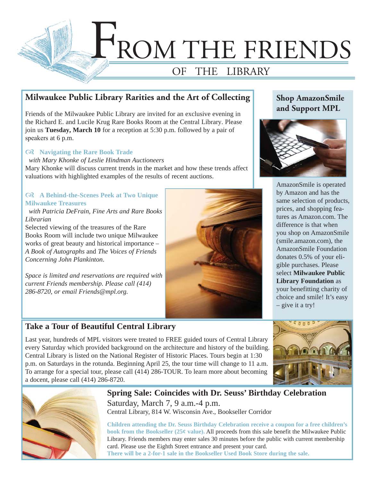

# **Milwaukee Public Library Rarities and the Art of Collecting**

Friends of the Milwaukee Public Library are invited for an exclusive evening in the Richard E. and Lucile Krug Rare Books Room at the Central Library. Please join us **Tuesday, March 10** for a reception at 5:30 p.m. followed by a pair of speakers at 6 p.m.

#### **Navigating the Rare Book Trade**

 *with Mary Khonke of Leslie Hindman Auctioneers*

Mary Khonke will discuss current trends in the market and how these trends affect valuations with highlighted examples of the results of recent auctions.

# **A Behind-the-Scenes Peek at Two Unique Milwaukee Treasures**

 *with Patricia DeFrain, Fine Arts and Rare Books Librarian*

Selected viewing of the treasures of the Rare Books Room will include two unique Milwaukee works of great beauty and historical importance – *A Book of Autographs* and *The Voices of Friends Concerning John Plankinton*.

*Space is limited and reservations are required with current Friends membership. Please call (414) 286-8720, or email Friends@mpl.org.*

# **Take a Tour of Beautiful Central Library**

Last year, hundreds of MPL visitors were treated to FREE guided tours of Central Library every Saturday which provided background on the architecture and history of the building. Central Library is listed on the National Register of Historic Places. Tours begin at 1:30 p.m. on Saturdays in the rotunda. Beginning April 25, the tour time will change to 11 a.m. To arrange for a special tour, please call (414) 286-TOUR. To learn more about becoming a docent, please call (414) 286-8720.





**Spring Sale: Coincides with Dr. Seuss' Birthday Celebration** Saturday, March 7, 9 a.m.-4 p.m. Central Library, 814 W. Wisconsin Ave., Bookseller Corridor

**Children attending the Dr. Seuss Birthday Celebration receive a coupon for a free children's book from the Bookseller (25¢ value).** All proceeds from this sale benefit the Milwaukee Public Library. Friends members may enter sales 30 minutes before the public with current membership card. Please use the Eighth Street entrance and present your card. **There will be a 2-for-1 sale in the Bookseller Used Book Store during the sale.**

# **Shop AmazonSmile and Support MPL**



AmazonSmile is operated by Amazon and has the same selection of products, prices, and shopping features as Amazon.com. The difference is that when you shop on AmazonSmile (smile.amazon.com), the AmazonSmile Foundation donates 0.5% of your eligible purchases. Please select **Milwaukee Public Library Foundation** as your benefitting charity of choice and smile! It's easy – give it a try!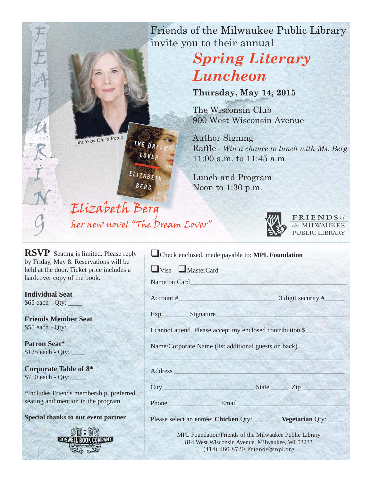Friends of the Milwaukee Public Library invite you to their annual

# *Spring Literary Luncheon*

**Thursday, May 14, 2015**

The Wisconsin Club 900 West Wisconsin Avenue

Author Signing Raffle - *Win a chance to lunch with Ms. Berg* 11:00 a.m. to 11:45 a.m.

Lunch and Program Noon to 1:30 p.m.

FRIENDS of the MILWAUKEE PUBLIC LIBRARY

| Check enclosed, made payable to: MPL Foundation                                                                                                                                                                                |                        |
|--------------------------------------------------------------------------------------------------------------------------------------------------------------------------------------------------------------------------------|------------------------|
| $\Box$ Visa $\Box$ MasterCard                                                                                                                                                                                                  |                        |
|                                                                                                                                                                                                                                |                        |
| $\text{Account } \#$                                                                                                                                                                                                           | $3$ digit security $#$ |
| Exp. Signature                                                                                                                                                                                                                 |                        |
| I cannot attend. Please accept my enclosed contribution \$                                                                                                                                                                     |                        |
| Name/Corporate Name (list additional guests on back)                                                                                                                                                                           |                        |
|                                                                                                                                                                                                                                |                        |
| Address and the state of the state of the state of the state of the state of the state of the state of the state of the state of the state of the state of the state of the state of the state of the state of the state of th |                        |
|                                                                                                                                                                                                                                |                        |
| Phone Email                                                                                                                                                                                                                    |                        |
| Please select an entrée: Chicken Qty: _______ Vegetarian Qty: ____                                                                                                                                                             |                        |
| MPL Foundation/Friends of the Milwaukee Public Library<br>814 West Wisconsin Avenue, Milwaukee, WI 53233<br>(414) 286-8720 Friends@mpl.org                                                                                     |                        |

*photo by Chris Popio*

LOVE ELIZABET

THE DRE

**BERG** 

Elizabeth Berg her new novel "The Dream Lover"

**RSVP** Seating is limited. Please reply by Friday, May 8. Reservations will be held at the door. Ticket price includes a hardcover copy of the book.

**Individual Seat**  \$65 each - Qty:

F

E

A

T

 $\boldsymbol{\mathcal{U}}$ 

R

I

N

**Friends Member Seat**  \$55 each - Qty:

**Patron Seat\***   $$125$  each - Oty:

**Corporate Table of 8\***   $$750$  each - Qty:

\*Includes Friends membership, preferred seating and mention in the program.

> **BOSWELL BOOK COMPANY** this de

**Special thanks to our event partner**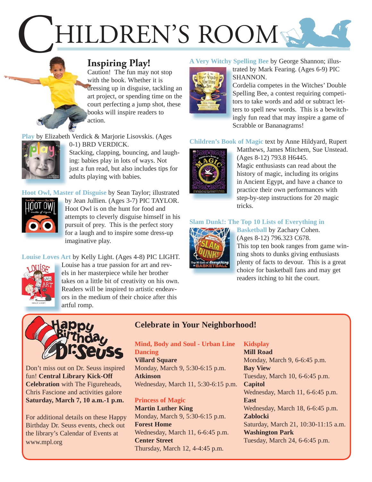# HILDREN'S ROOM

# **Inspiring Play!**

 Caution! The fun may not stop with the book. Whether it is dressing up in disguise, tackling an art project, or spending time on the court perfecting a jump shot, these books will inspire readers to action.

**Play** [by Elizabeth Verdick & Marjorie Lisovskis. \(Ages](https://encore.mcfls.org/iii/encore/record/C__Rb3721508) 



0-1) BRD VERDICK. Stacking, clapping, bouncing, and laugh-

ing: babies play in lots of ways. Not just a fun read, but also includes tips for adults playing with babies.

**Hoot Owl, Master of Disguise** by Sean Taylor; illustrated



by Jean Jullien. (Ages 3-7) PIC TAYLOR. b Hoot Owl is on the hunt for food and H [attempts to cleverly disguise himself in his](https://encore.mcfls.org/iii/encore/record/C__Rb3797143)  a pursuit of prey. This is the perfect story p for a laugh and to inspire some dress-up f imaginative play. i

**Louise Loves Art** by Kelly Light. (Ages 4-8) PIC LIGHT.



Louise has a true passion for art and rev-L els in her masterpiece while her brother takes on a little bit of creativity on his own. Readers will be inspired to artistic endeav-R ors in the medium of their choice after this artful romp. a

# **A Very Witchy Spelling Bee** by George Shannon; illus-



trated by Mark Fearing. (Ages 6-9) PIC SHANNON. S

Cordelia competes in the Witches' Double C Spelling Bee, a contest requiring competi-S tors to take words and add or subtract let[ters to spell new words. This is a bewitch-](https://encore.mcfls.org/iii/encore/record/C__Rb3685433)t ingly fun read that may inspire a game of Scrabble or Bananagrams!

[Matthews, James Mitchem, Sue Unstead.](https://encore.mcfls.org/iii/encore/record/C__Rb3768041) 

# **Children's Book of Magic** text by Anne Hildyard, Rupert



(Ages 8-12) 793.8 H6445. Magic enthusiasts can read about the history of magic, including its origins in Ancient Egypt, and have a chance to practice their own performances with step-by-step instructions for 20 magic tricks.

#### **[Slam Dunk!: The Top 10 Lists of Everything in](https://encore.mcfls.org/iii/encore/record/C__Rb3774201)**



**Basketball** by Zachary Cohen. **B** (Ages 8-12) 796.323 C678. ( This top ten book ranges from game win-T ning shots to dunks giving enthusiasts n plenty of facts to devour. This is a great p choice for basketball fans and may get c readers itching to hit the court.



Don't miss out on Dr. Seuss inspired fun! **Central Library Kick-Off Celebration** with The Figureheads, Chris Fascione and activities galore **Saturday, March 7, 10 a.m.-1 p.m.**

For additional details on these Happy Birthday Dr. Seuss events, check out the library's Calendar of Events at www.mpl.org

# **Celebrate in Your Neighborhood!**

**Mind, Body and Soul - Urban Line Dancing Villard Square** Monday, March 9, 5:30-6:15 p.m.

**Atkinson** Wednesday, March 11, 5:30-6:15 p.m.

# **Princess of Magic**

**Martin Luther King** Monday, March 9, 5:30-6:15 p.m. **Forest Home** Wednesday, March 11, 6-6:45 p.m. **Center Street** Thursday, March 12, 4-4:45 p.m.

# **Kidsplay**

**Mill Road** Monday, March 9, 6-6:45 p.m. **Bay View** Tuesday, March 10, 6-6:45 p.m. **Capitol** Wednesday, March 11, 6-6:45 p.m. **East** Wednesday, March 18, 6-6:45 p.m. **Zablocki** Saturday, March 21, 10:30-11:15 a.m. **Washington Park** Tuesday, March 24, 6-6:45 p.m.